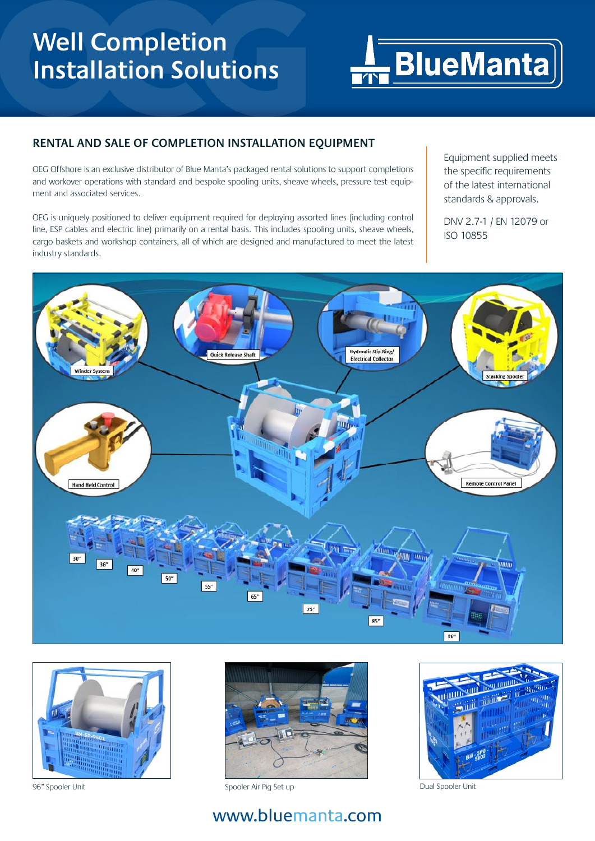## **Well Completion Installation Solutions**



## **RENTAL AND SALE OF COMPLETION INSTALLATION EQUIPMENT**

OEG Offshore is an exclusive distributor of Blue Manta's packaged rental solutions to support completions and workover operations with standard and bespoke spooling units, sheave wheels, pressure test equipment and associated services.

OEG is uniquely positioned to deliver equipment required for deploying assorted lines (including control line, ESP cables and electric line) primarily on a rental basis. This includes spooling units, sheave wheels, cargo baskets and workshop containers, all of which are designed and manufactured to meet the latest industry standards.

Equipment supplied meets the specific requirements of the latest international standards & approvals.

DNV 2.7-1 / EN 12079 or ISO 10855







96" Spooler Unit Spooler Air Pig Set up Dual Spooler Unit



## www.bluemanta.com